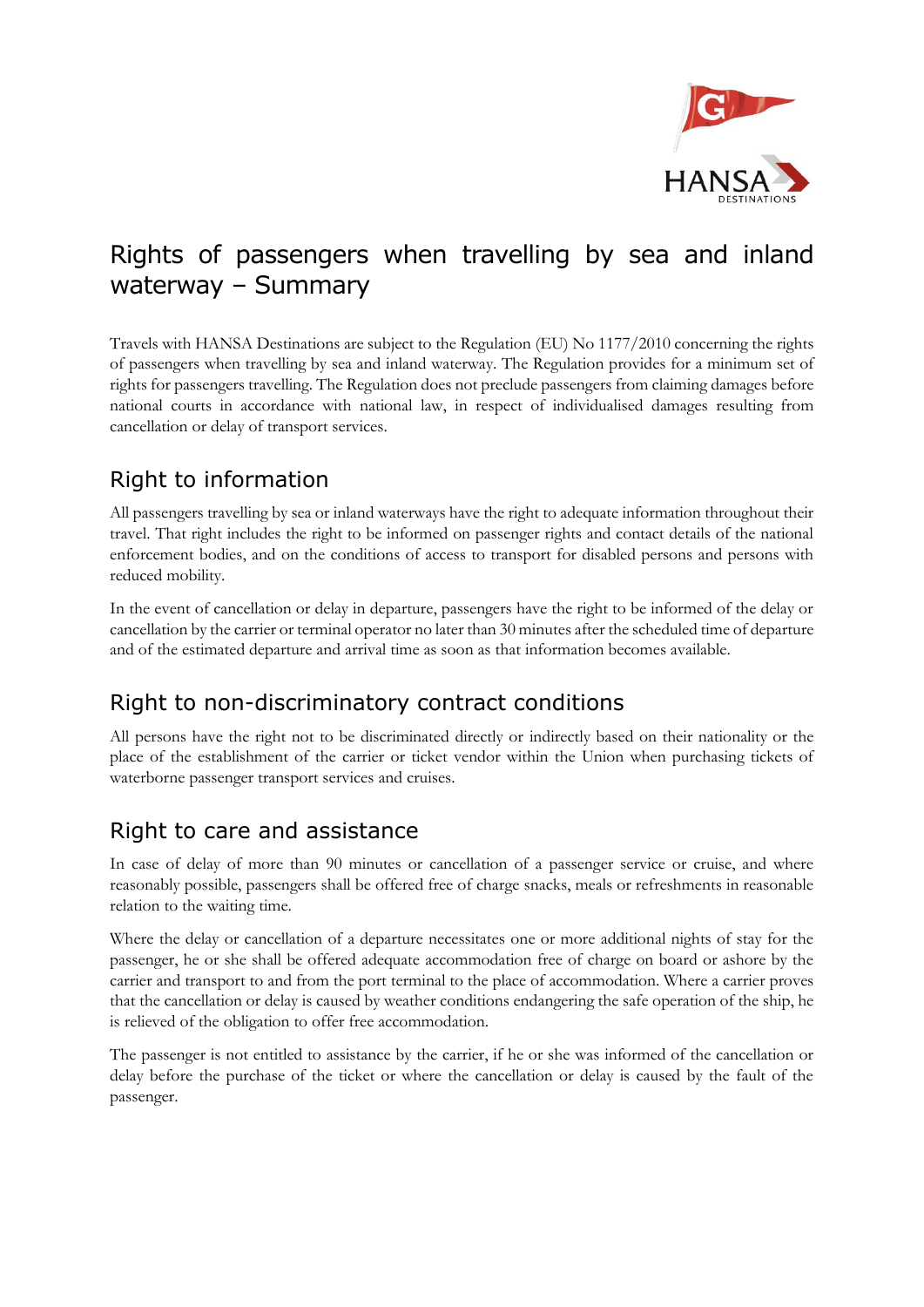

# Rights of passengers when travelling by sea and inland waterway – Summary

Travels with HANSA Destinations are subject to the Regulation (EU) No 1177/2010 concerning the rights of passengers when travelling by sea and inland waterway. The Regulation provides for a minimum set of rights for passengers travelling. The Regulation does not preclude passengers from claiming damages before national courts in accordance with national law, in respect of individualised damages resulting from cancellation or delay of transport services.

## Right to information

All passengers travelling by sea or inland waterways have the right to adequate information throughout their travel. That right includes the right to be informed on passenger rights and contact details of the national enforcement bodies, and on the conditions of access to transport for disabled persons and persons with reduced mobility.

In the event of cancellation or delay in departure, passengers have the right to be informed of the delay or cancellation by the carrier or terminal operator no later than 30 minutes after the scheduled time of departure and of the estimated departure and arrival time as soon as that information becomes available.

#### Right to non-discriminatory contract conditions

All persons have the right not to be discriminated directly or indirectly based on their nationality or the place of the establishment of the carrier or ticket vendor within the Union when purchasing tickets of waterborne passenger transport services and cruises.

#### Right to care and assistance

In case of delay of more than 90 minutes or cancellation of a passenger service or cruise, and where reasonably possible, passengers shall be offered free of charge snacks, meals or refreshments in reasonable relation to the waiting time.

Where the delay or cancellation of a departure necessitates one or more additional nights of stay for the passenger, he or she shall be offered adequate accommodation free of charge on board or ashore by the carrier and transport to and from the port terminal to the place of accommodation. Where a carrier proves that the cancellation or delay is caused by weather conditions endangering the safe operation of the ship, he is relieved of the obligation to offer free accommodation.

The passenger is not entitled to assistance by the carrier, if he or she was informed of the cancellation or delay before the purchase of the ticket or where the cancellation or delay is caused by the fault of the passenger.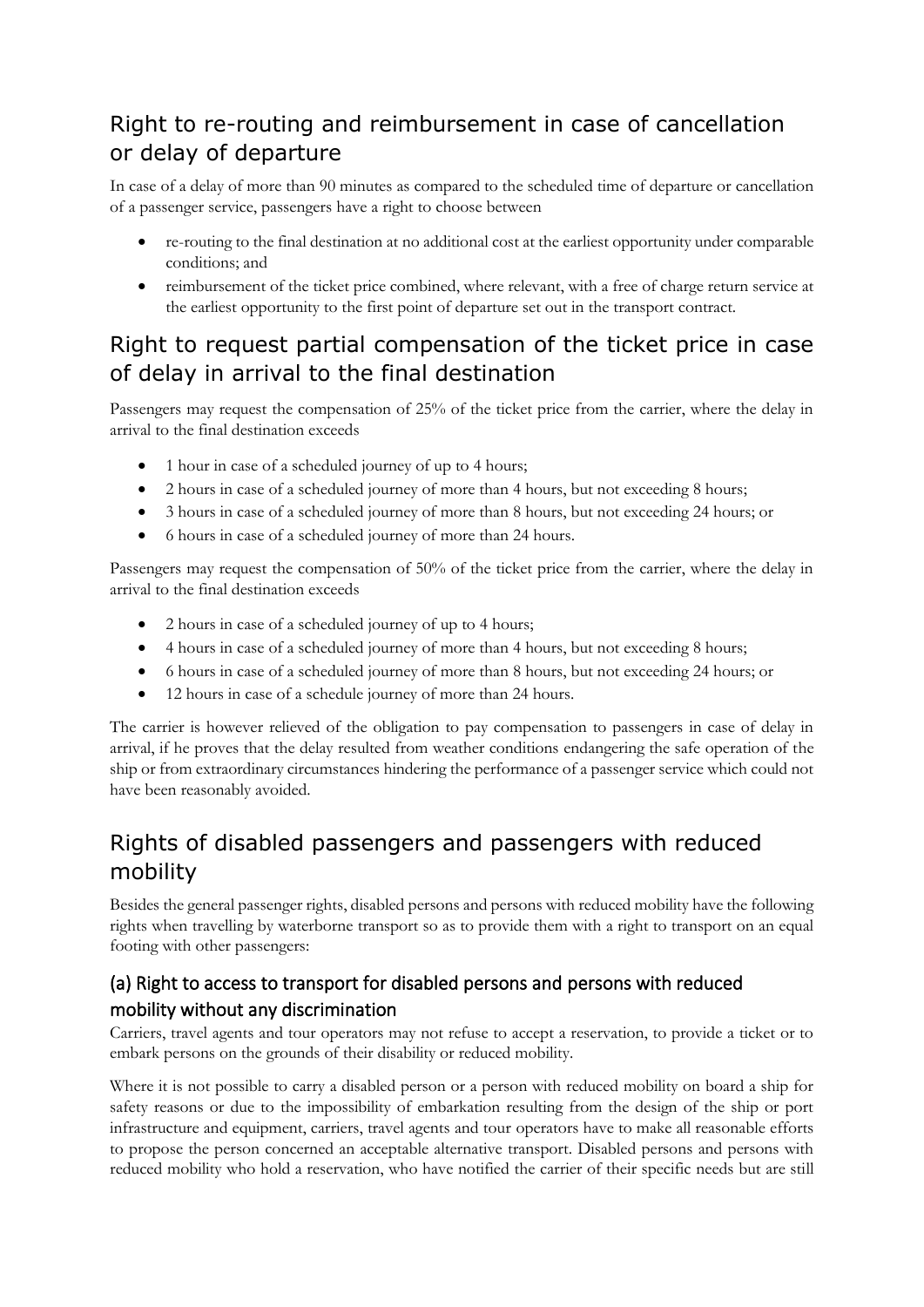## Right to re-routing and reimbursement in case of cancellation or delay of departure

In case of a delay of more than 90 minutes as compared to the scheduled time of departure or cancellation of a passenger service, passengers have a right to choose between

- re-routing to the final destination at no additional cost at the earliest opportunity under comparable conditions; and
- reimbursement of the ticket price combined, where relevant, with a free of charge return service at the earliest opportunity to the first point of departure set out in the transport contract.

### Right to request partial compensation of the ticket price in case of delay in arrival to the final destination

Passengers may request the compensation of 25% of the ticket price from the carrier, where the delay in arrival to the final destination exceeds

- 1 hour in case of a scheduled journey of up to 4 hours;
- 2 hours in case of a scheduled journey of more than 4 hours, but not exceeding 8 hours;
- 3 hours in case of a scheduled journey of more than 8 hours, but not exceeding 24 hours; or
- 6 hours in case of a scheduled journey of more than 24 hours.

Passengers may request the compensation of 50% of the ticket price from the carrier, where the delay in arrival to the final destination exceeds

- 2 hours in case of a scheduled journey of up to 4 hours;
- 4 hours in case of a scheduled journey of more than 4 hours, but not exceeding 8 hours;
- 6 hours in case of a scheduled journey of more than 8 hours, but not exceeding 24 hours; or
- 12 hours in case of a schedule journey of more than 24 hours.

The carrier is however relieved of the obligation to pay compensation to passengers in case of delay in arrival, if he proves that the delay resulted from weather conditions endangering the safe operation of the ship or from extraordinary circumstances hindering the performance of a passenger service which could not have been reasonably avoided.

## Rights of disabled passengers and passengers with reduced mobility

Besides the general passenger rights, disabled persons and persons with reduced mobility have the following rights when travelling by waterborne transport so as to provide them with a right to transport on an equal footing with other passengers:

#### (a) Right to access to transport for disabled persons and persons with reduced mobility without any discrimination

Carriers, travel agents and tour operators may not refuse to accept a reservation, to provide a ticket or to embark persons on the grounds of their disability or reduced mobility.

Where it is not possible to carry a disabled person or a person with reduced mobility on board a ship for safety reasons or due to the impossibility of embarkation resulting from the design of the ship or port infrastructure and equipment, carriers, travel agents and tour operators have to make all reasonable efforts to propose the person concerned an acceptable alternative transport. Disabled persons and persons with reduced mobility who hold a reservation, who have notified the carrier of their specific needs but are still